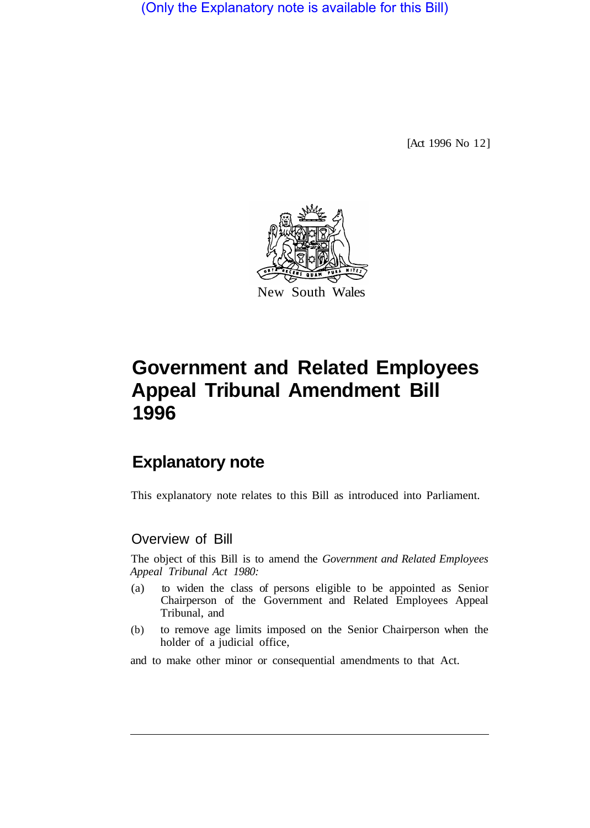(Only the Explanatory note is available for this Bill)

[Act 1996 No 12]



# **Government and Related Employees Appeal Tribunal Amendment Bill 1996**

## **Explanatory note**

This explanatory note relates to this Bill as introduced into Parliament.

#### Overview of Bill

The object of this Bill is to amend the *Government and Related Employees Appeal Tribunal Act 1980:* 

- (a) to widen the class of persons eligible to be appointed as Senior Chairperson of the Government and Related Employees Appeal Tribunal, and
- (b) to remove age limits imposed on the Senior Chairperson when the holder of a judicial office,

and to make other minor or consequential amendments to that Act.